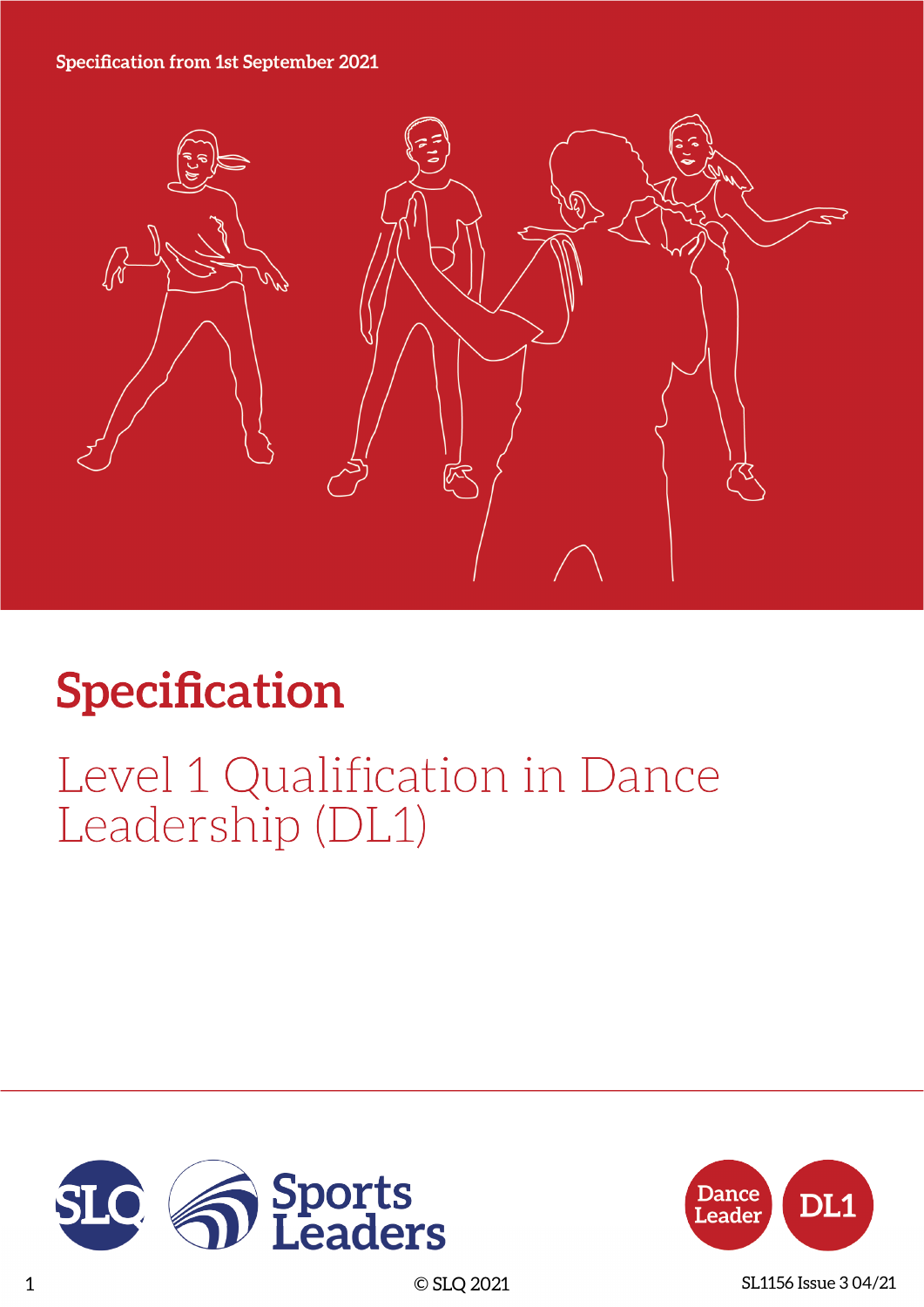#### **Specification from 1st September 2021**



# **Specification**

## Level 1 Qualification in Dance Leadership (DL1)





1 © SLQ 2021 SL1156 Issue 3 04/21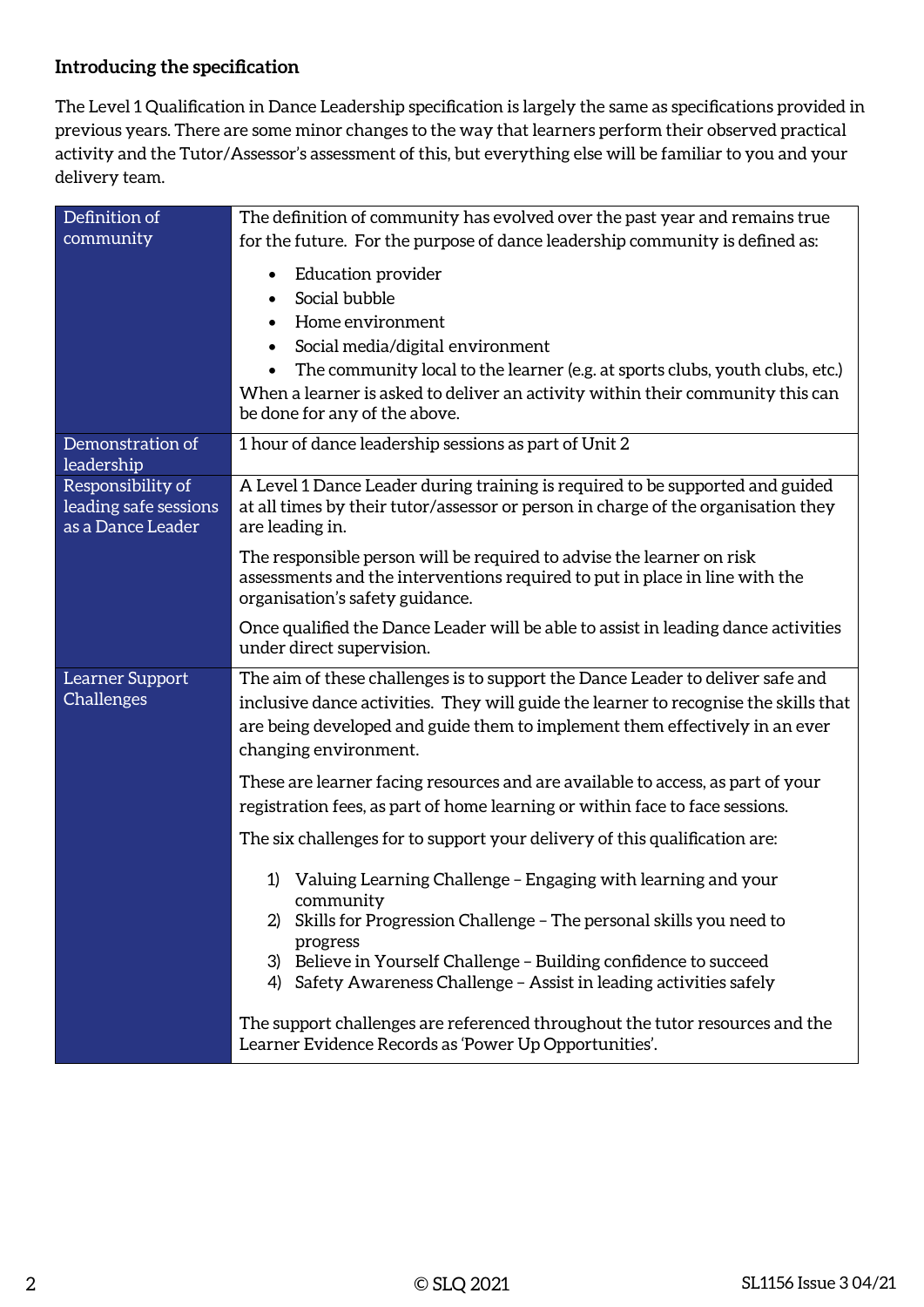#### **Introducing the specification**

The Level 1 Qualification in Dance Leadership specification is largely the same as specifications provided in previous years. There are some minor changes to the way that learners perform their observed practical activity and the Tutor/Assessor's assessment of this, but everything else will be familiar to you and your delivery team.

| Definition of                                                   | The definition of community has evolved over the past year and remains true                                                                                                                                                                                                                                                          |  |  |
|-----------------------------------------------------------------|--------------------------------------------------------------------------------------------------------------------------------------------------------------------------------------------------------------------------------------------------------------------------------------------------------------------------------------|--|--|
| community                                                       | for the future. For the purpose of dance leadership community is defined as:                                                                                                                                                                                                                                                         |  |  |
|                                                                 | <b>Education provider</b><br>٠<br>Social bubble<br>$\bullet$<br>Home environment<br>$\bullet$<br>Social media/digital environment<br>The community local to the learner (e.g. at sports clubs, youth clubs, etc.)<br>When a learner is asked to deliver an activity within their community this can<br>be done for any of the above. |  |  |
| Demonstration of<br>leadership                                  | 1 hour of dance leadership sessions as part of Unit 2                                                                                                                                                                                                                                                                                |  |  |
| Responsibility of<br>leading safe sessions<br>as a Dance Leader | A Level 1 Dance Leader during training is required to be supported and guided<br>at all times by their tutor/assessor or person in charge of the organisation they<br>are leading in.                                                                                                                                                |  |  |
|                                                                 | The responsible person will be required to advise the learner on risk<br>assessments and the interventions required to put in place in line with the<br>organisation's safety guidance.                                                                                                                                              |  |  |
|                                                                 | Once qualified the Dance Leader will be able to assist in leading dance activities<br>under direct supervision.                                                                                                                                                                                                                      |  |  |
| Learner Support<br>Challenges                                   | The aim of these challenges is to support the Dance Leader to deliver safe and<br>inclusive dance activities. They will guide the learner to recognise the skills that<br>are being developed and guide them to implement them effectively in an ever<br>changing environment.                                                       |  |  |
|                                                                 | These are learner facing resources and are available to access, as part of your<br>registration fees, as part of home learning or within face to face sessions.                                                                                                                                                                      |  |  |
|                                                                 | The six challenges for to support your delivery of this qualification are:                                                                                                                                                                                                                                                           |  |  |
|                                                                 | Valuing Learning Challenge – Engaging with learning and your<br>1)<br>community<br>Skills for Progression Challenge - The personal skills you need to<br>progress<br>3) Believe in Yourself Challenge - Building confidence to succeed<br>4) Safety Awareness Challenge - Assist in leading activities safely                        |  |  |
|                                                                 | The support challenges are referenced throughout the tutor resources and the<br>Learner Evidence Records as 'Power Up Opportunities'.                                                                                                                                                                                                |  |  |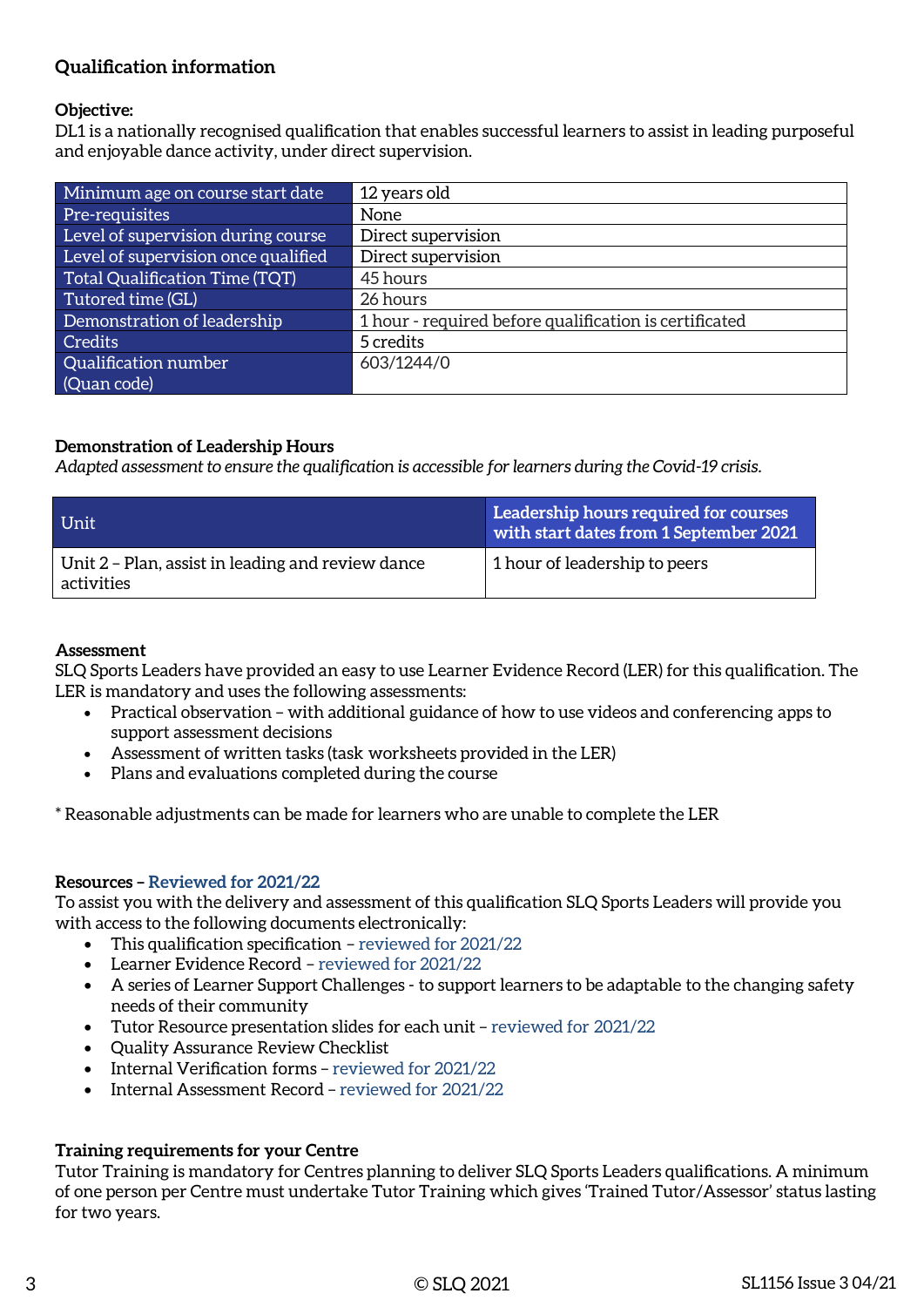#### **Qualification information**

#### **Objective:**

DL1 is a nationally recognised qualification that enables successful learners to assist in leading purposeful and enjoyable dance activity, under direct supervision.

| Minimum age on course start date    | 12 years old                                           |
|-------------------------------------|--------------------------------------------------------|
| Pre-requisites                      | None                                                   |
| Level of supervision during course  | Direct supervision                                     |
| Level of supervision once qualified | Direct supervision                                     |
| Total Qualification Time (TQT)      | 45 hours                                               |
| Tutored time (GL)                   | 26 hours                                               |
| Demonstration of leadership         | 1 hour - required before qualification is certificated |
| <b>Credits</b>                      | 5 credits                                              |
| Qualification number                | 603/1244/0                                             |
| (Quan code)                         |                                                        |

#### **Demonstration of Leadership Hours**

*Adapted assessment to ensure the qualification is accessible for learners during the Covid-19 crisis.*

| Unit                                                            | Leadership hours required for courses<br>with start dates from 1 September 2021 |
|-----------------------------------------------------------------|---------------------------------------------------------------------------------|
| Unit 2 – Plan, assist in leading and review dance<br>activities | 1 hour of leadership to peers                                                   |

#### **Assessment**

SLQ Sports Leaders have provided an easy to use Learner Evidence Record (LER) for this qualification. The LER is mandatory and uses the following assessments:

- Practical observation with additional guidance of how to use videos and conferencing apps to support assessment decisions
- Assessment of written tasks (task worksheets provided in the LER)
- Plans and evaluations completed during the course

\* Reasonable adjustments can be made for learners who are unable to complete the LER

#### **Resources – Reviewed for 2021/22**

To assist you with the delivery and assessment of this qualification SLQ Sports Leaders will provide you with access to the following documents electronically:

- This qualification specification reviewed for 2021/22
- Learner Evidence Record reviewed for 2021/22
- A series of Learner Support Challenges to support learners to be adaptable to the changing safety needs of their community
- Tutor Resource presentation slides for each unit reviewed for 2021/22
- Quality Assurance Review Checklist
- Internal Verification forms reviewed for 2021/22
- Internal Assessment Record reviewed for 2021/22

#### **Training requirements for your Centre**

Tutor Training is mandatory for Centres planning to deliver SLQ Sports Leaders qualifications. A minimum of one person per Centre must undertake Tutor Training which gives 'Trained Tutor/Assessor' status lasting for two years.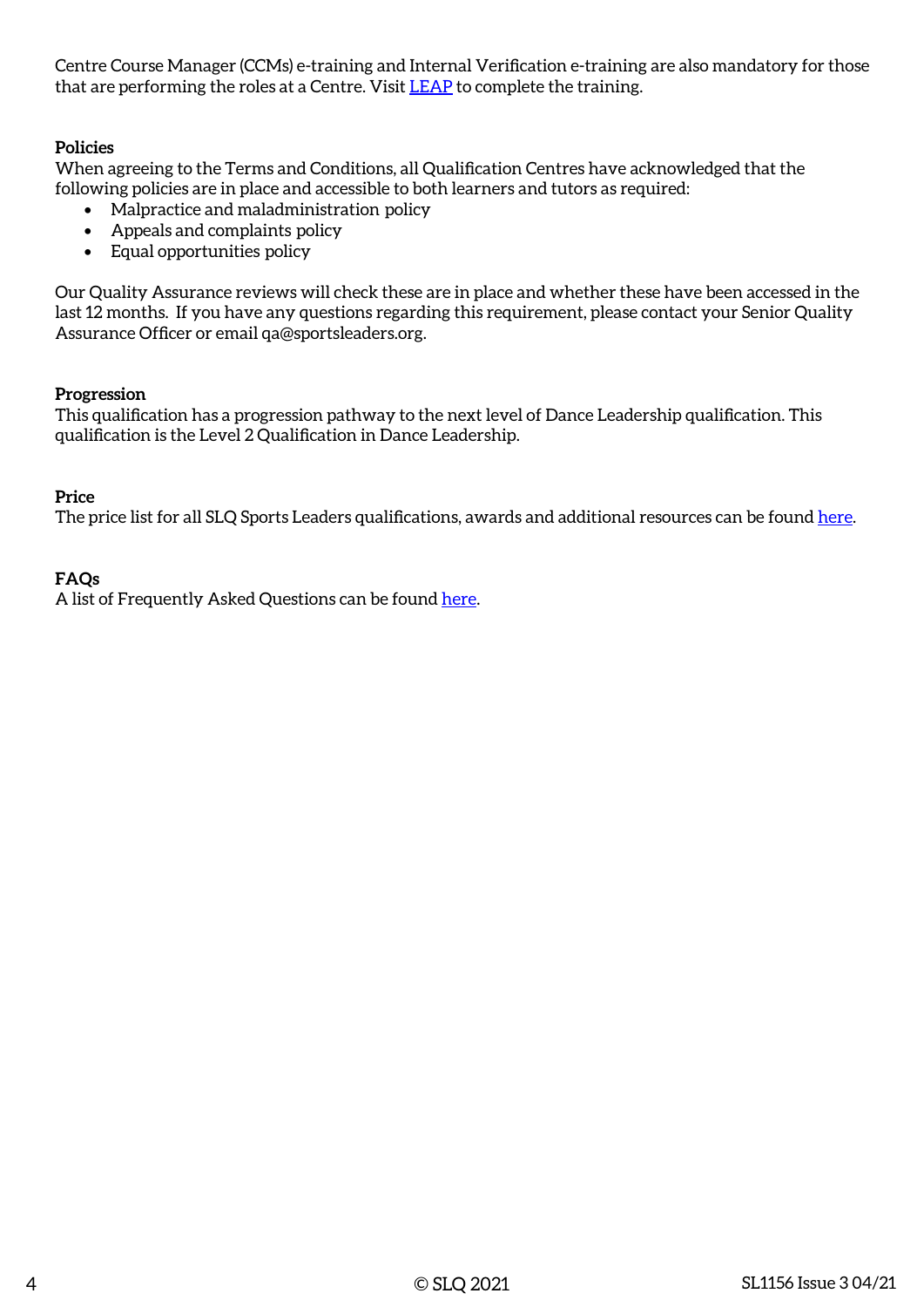Centre Course Manager (CCMs) e-training and Internal Verification e-training are also mandatory for those that are performing the roles at a Centre. Visit [LEAP](https://leap.slqskills.org/training-menu/?def=1) to complete the training.

#### **Policies**

When agreeing to the Terms and Conditions, all Qualification Centres have acknowledged that the following policies are in place and accessible to both learners and tutors as required:

- Malpractice and maladministration policy
- Appeals and complaints policy
- Equal opportunities policy

Our Quality Assurance reviews will check these are in place and whether these have been accessed in the last 12 months. If you have any questions regarding this requirement, please contact your Senior Quality Assurance Officer or email qa@sportsleaders.org.

#### **Progression**

This qualification has a progression pathway to the next level of Dance Leadership qualification. This qualification is the Level 2 Qualification in Dance Leadership.

#### **Price**

The price list for all SLQ Sports Leaders qualifications, awards and additional resources can be found [here.](https://www.sportsleaders.org/about-us-1/prices)

#### **FAQs**

A list of Frequently Asked Questions can be found [here](https://www.sportsleaders.org/about-us-1/faqs).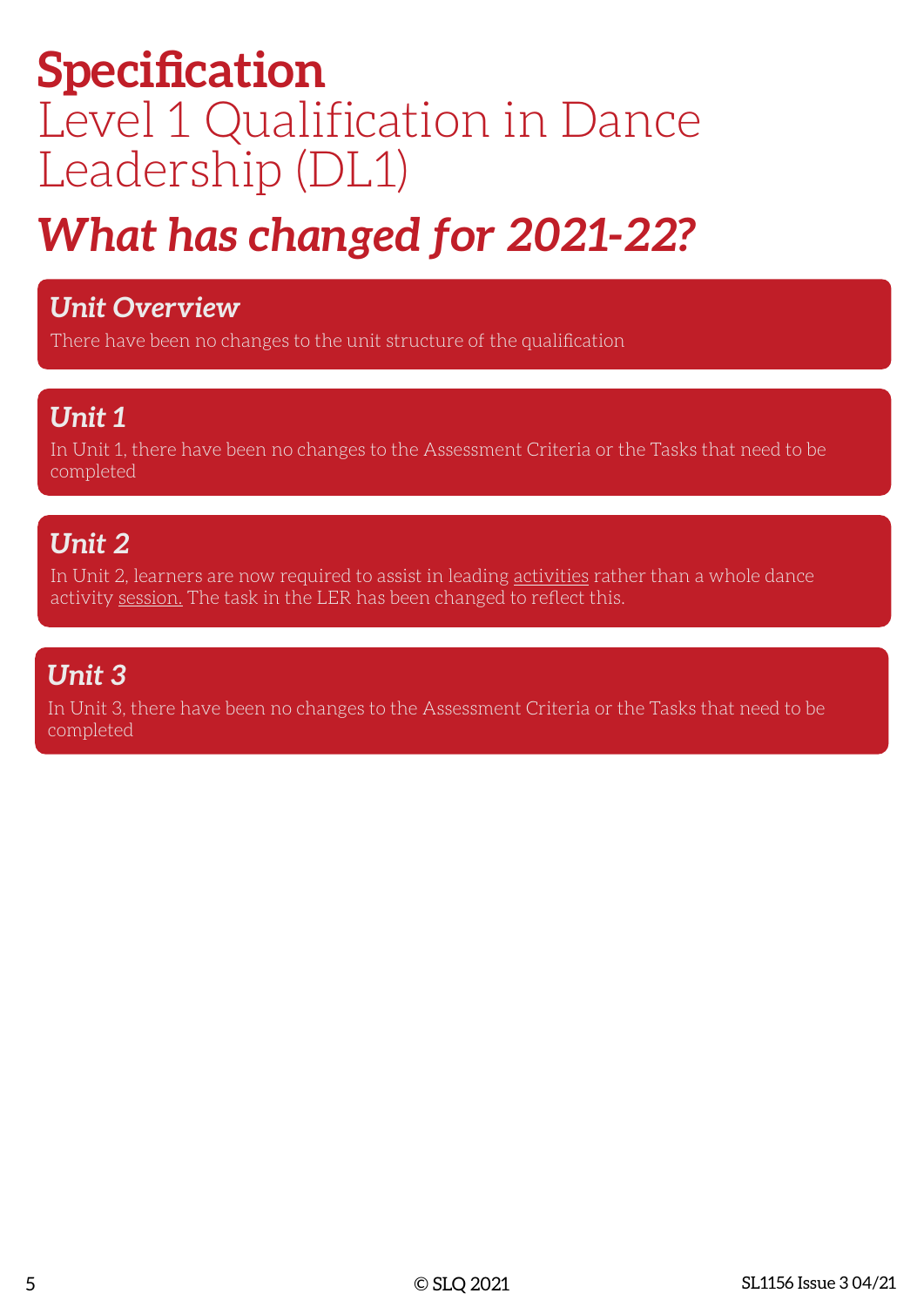## **Specification** Level 1 Qualification in Dance Leadership (DL1)

# *What has changed for 2021-22?*

### *Unit Overview*

There have been no changes to the unit structure of the qualification

### *Unit 1*

In Unit 1, there have been no changes to the Assessment Criteria or the Tasks that need to be completed

## *Unit 2*

In Unit 2, learners are now required to assist in leading **activities** rather than a whole dance activity session. The task in the LER has been changed to reflect this.

## *Unit 3*

In Unit 3, there have been no changes to the Assessment Criteria or the Tasks that need to be completed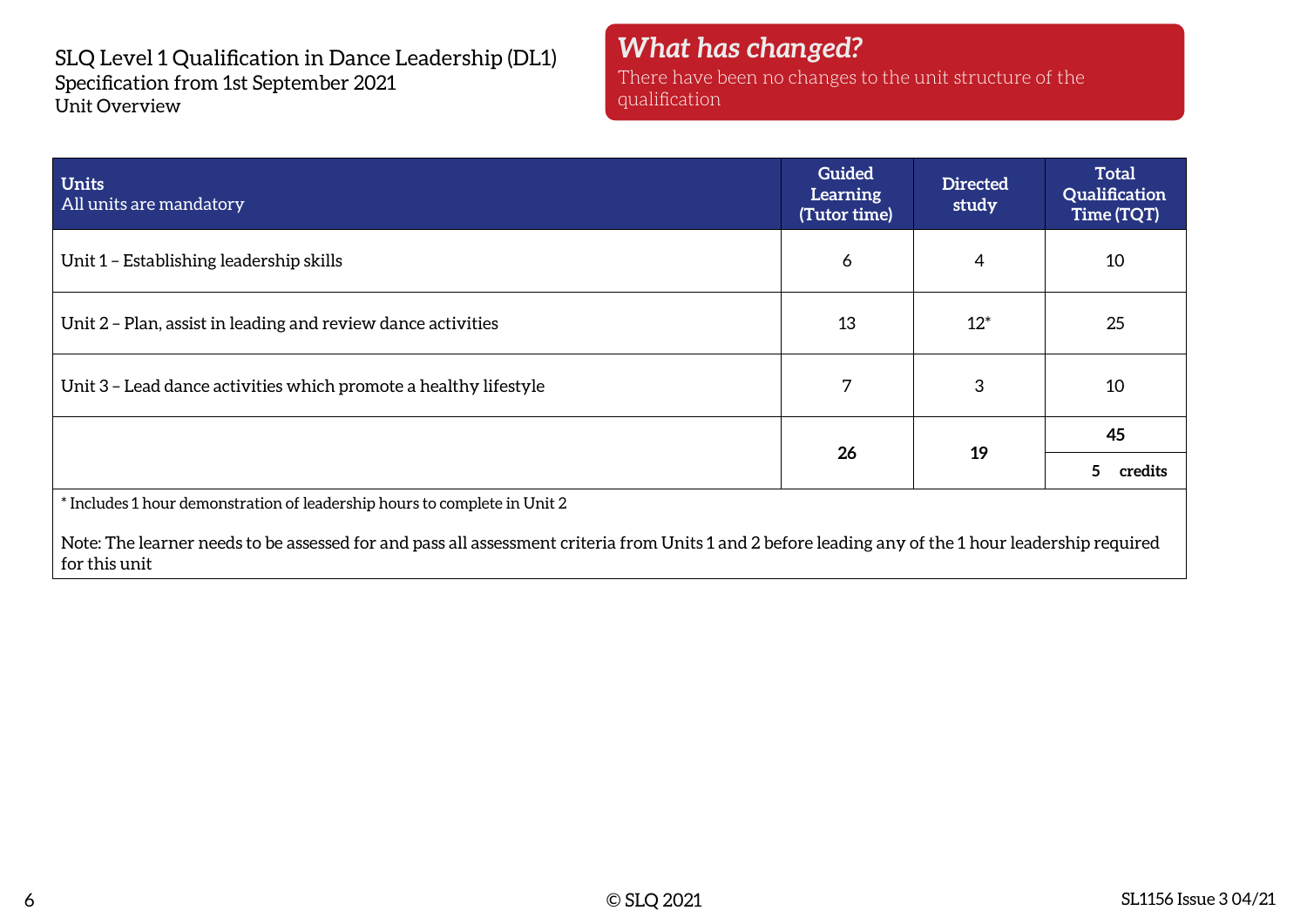SLQ Level 1 Qualification in Dance Leadership (DL1) Specification from 1st September 2021 Unit Overview

*What has changed?* There have been no changes to the unit structure of the qualification

| <b>Units</b><br>All units are mandatory                                                                                                                              | <b>Guided</b><br>Learning<br>(Tutor time) | <b>Directed</b><br>study | <b>Total</b><br>Qualification<br>Time (TQT) |
|----------------------------------------------------------------------------------------------------------------------------------------------------------------------|-------------------------------------------|--------------------------|---------------------------------------------|
| Unit 1 – Establishing leadership skills                                                                                                                              | 6                                         | 4                        | 10                                          |
| Unit 2 - Plan, assist in leading and review dance activities                                                                                                         | 13                                        | $12*$                    | 25                                          |
| Unit 3 - Lead dance activities which promote a healthy lifestyle                                                                                                     | 7                                         | 3                        | 10                                          |
|                                                                                                                                                                      | 26                                        | 19                       | 45                                          |
|                                                                                                                                                                      |                                           |                          | 5.<br>credits                               |
| * Includes 1 hour demonstration of leadership hours to complete in Unit 2                                                                                            |                                           |                          |                                             |
| Note: The learner needs to be assessed for and pass all assessment criteria from Units 1 and 2 before leading any of the 1 hour leadership required<br>for this unit |                                           |                          |                                             |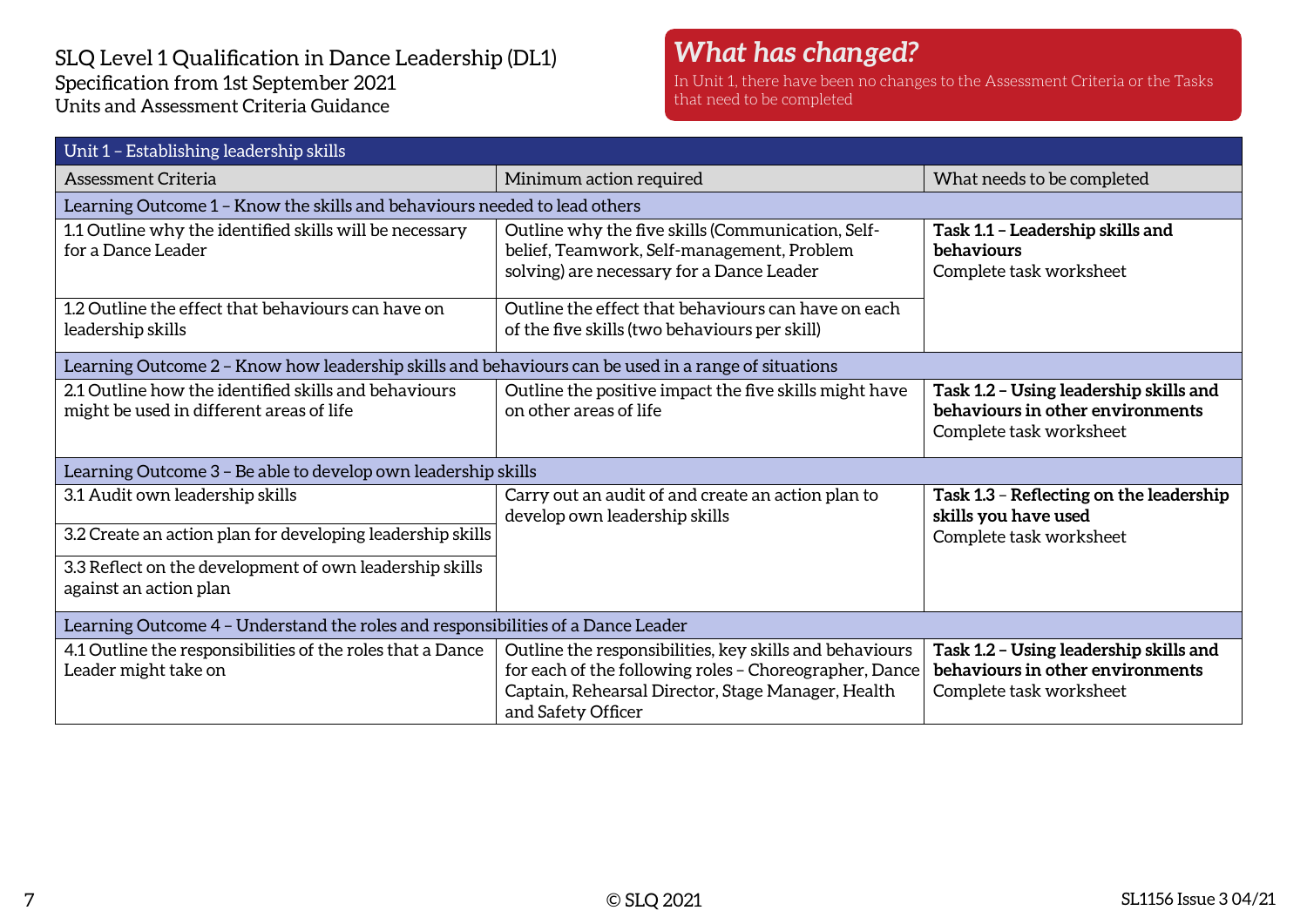#### SLQ Level 1 Qualification in Dance Leadership (DL1) Specification from 1st September 2021 Units and Assessment Criteria Guidance

### *What has changed?*

In Unit 1, there have been no changes to the Assessment Criteria or the Tasks that need to be completed

| Unit 1 - Establishing leadership skills                                                             |                                                                                                                                                                                               |                                                                                                       |  |  |
|-----------------------------------------------------------------------------------------------------|-----------------------------------------------------------------------------------------------------------------------------------------------------------------------------------------------|-------------------------------------------------------------------------------------------------------|--|--|
| Assessment Criteria                                                                                 | Minimum action required                                                                                                                                                                       | What needs to be completed                                                                            |  |  |
| Learning Outcome 1 - Know the skills and behaviours needed to lead others                           |                                                                                                                                                                                               |                                                                                                       |  |  |
| 1.1 Outline why the identified skills will be necessary<br>for a Dance Leader                       | Outline why the five skills (Communication, Self-<br>belief, Teamwork, Self-management, Problem<br>solving) are necessary for a Dance Leader                                                  | Task 1.1 - Leadership skills and<br>behaviours<br>Complete task worksheet                             |  |  |
| 1.2 Outline the effect that behaviours can have on<br>leadership skills                             | Outline the effect that behaviours can have on each<br>of the five skills (two behaviours per skill)                                                                                          |                                                                                                       |  |  |
| Learning Outcome 2 - Know how leadership skills and behaviours can be used in a range of situations |                                                                                                                                                                                               |                                                                                                       |  |  |
| 2.1 Outline how the identified skills and behaviours<br>might be used in different areas of life    | Outline the positive impact the five skills might have<br>on other areas of life                                                                                                              | Task 1.2 - Using leadership skills and<br>behaviours in other environments<br>Complete task worksheet |  |  |
|                                                                                                     | Learning Outcome 3 - Be able to develop own leadership skills                                                                                                                                 |                                                                                                       |  |  |
| 3.1 Audit own leadership skills                                                                     | Carry out an audit of and create an action plan to<br>develop own leadership skills                                                                                                           | Task 1.3 - Reflecting on the leadership<br>skills you have used<br>Complete task worksheet            |  |  |
| 3.2 Create an action plan for developing leadership skills                                          |                                                                                                                                                                                               |                                                                                                       |  |  |
| 3.3 Reflect on the development of own leadership skills<br>against an action plan                   |                                                                                                                                                                                               |                                                                                                       |  |  |
| Learning Outcome 4 - Understand the roles and responsibilities of a Dance Leader                    |                                                                                                                                                                                               |                                                                                                       |  |  |
| 4.1 Outline the responsibilities of the roles that a Dance<br>Leader might take on                  | Outline the responsibilities, key skills and behaviours<br>for each of the following roles - Choreographer, Dance<br>Captain, Rehearsal Director, Stage Manager, Health<br>and Safety Officer | Task 1.2 - Using leadership skills and<br>behaviours in other environments<br>Complete task worksheet |  |  |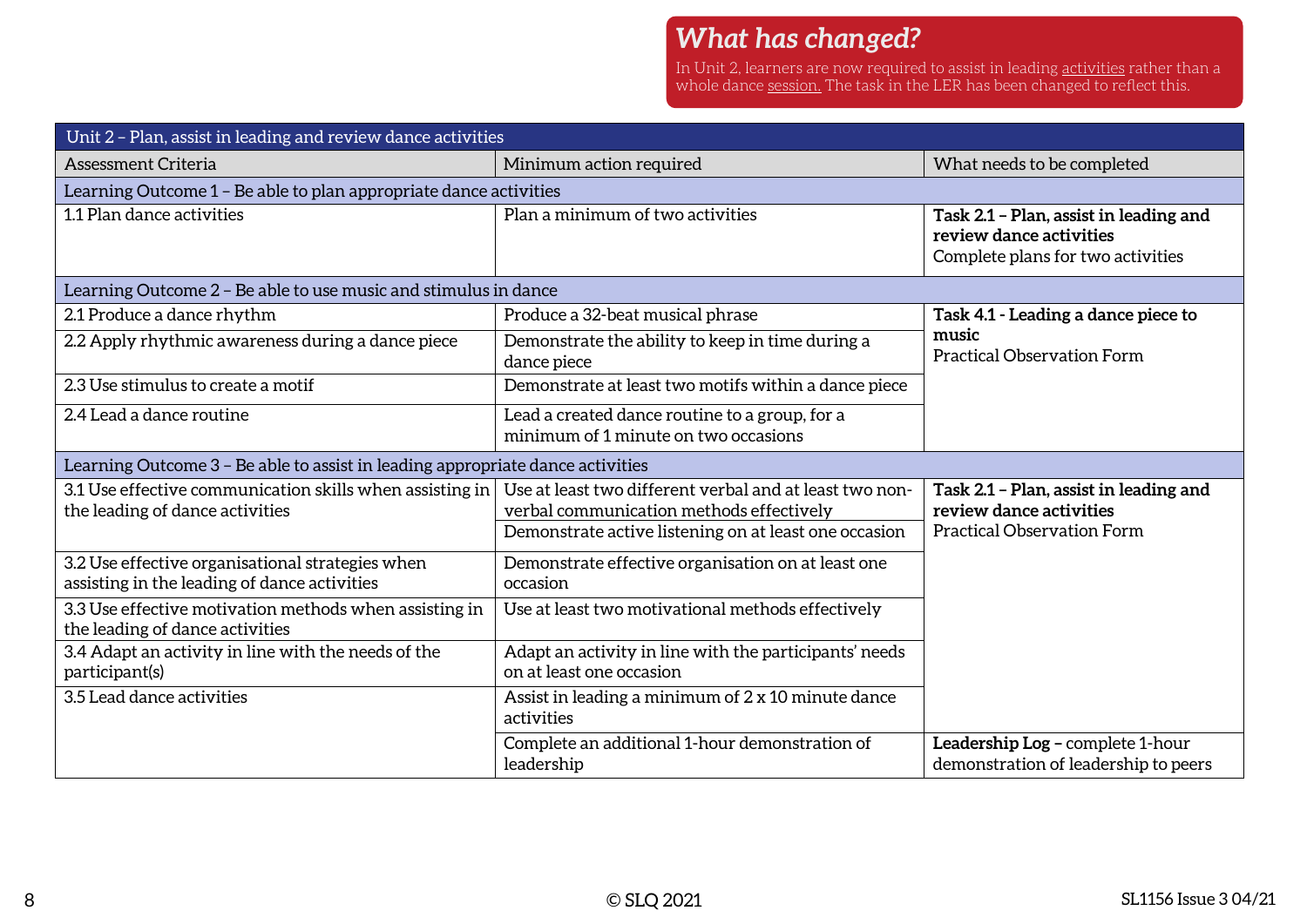## *What has changed?*

In Unit 2, learners are now required to assist in leading <u>activities</u> rather than a whole dance <u>session.</u> The task in the LER has been changed to reflect this.

| Unit 2 - Plan, assist in leading and review dance activities                                     |                                                                                                                                                              |                                                                                                        |  |
|--------------------------------------------------------------------------------------------------|--------------------------------------------------------------------------------------------------------------------------------------------------------------|--------------------------------------------------------------------------------------------------------|--|
| <b>Assessment Criteria</b>                                                                       | Minimum action required                                                                                                                                      | What needs to be completed                                                                             |  |
| Learning Outcome 1 - Be able to plan appropriate dance activities                                |                                                                                                                                                              |                                                                                                        |  |
| 1.1 Plan dance activities                                                                        | Plan a minimum of two activities                                                                                                                             | Task 2.1 - Plan, assist in leading and<br>review dance activities<br>Complete plans for two activities |  |
| Learning Outcome 2 – Be able to use music and stimulus in dance                                  |                                                                                                                                                              |                                                                                                        |  |
| 2.1 Produce a dance rhythm                                                                       | Produce a 32-beat musical phrase                                                                                                                             | Task 4.1 - Leading a dance piece to                                                                    |  |
| 2.2 Apply rhythmic awareness during a dance piece                                                | Demonstrate the ability to keep in time during a<br>dance piece                                                                                              | music<br><b>Practical Observation Form</b>                                                             |  |
| 2.3 Use stimulus to create a motif                                                               | Demonstrate at least two motifs within a dance piece                                                                                                         |                                                                                                        |  |
| 2.4 Lead a dance routine                                                                         | Lead a created dance routine to a group, for a<br>minimum of 1 minute on two occasions                                                                       |                                                                                                        |  |
| Learning Outcome 3 - Be able to assist in leading appropriate dance activities                   |                                                                                                                                                              |                                                                                                        |  |
| 3.1 Use effective communication skills when assisting in<br>the leading of dance activities      | Use at least two different verbal and at least two non-<br>verbal communication methods effectively<br>Demonstrate active listening on at least one occasion | Task 2.1 - Plan, assist in leading and<br>review dance activities<br><b>Practical Observation Form</b> |  |
| 3.2 Use effective organisational strategies when<br>assisting in the leading of dance activities | Demonstrate effective organisation on at least one<br>occasion                                                                                               |                                                                                                        |  |
| 3.3 Use effective motivation methods when assisting in<br>the leading of dance activities        | Use at least two motivational methods effectively                                                                                                            |                                                                                                        |  |
| 3.4 Adapt an activity in line with the needs of the<br>participant(s)                            | Adapt an activity in line with the participants' needs<br>on at least one occasion                                                                           |                                                                                                        |  |
| 3.5 Lead dance activities                                                                        | Assist in leading a minimum of 2 x 10 minute dance<br>activities                                                                                             |                                                                                                        |  |
|                                                                                                  | Complete an additional 1-hour demonstration of<br>leadership                                                                                                 | Leadership Log - complete 1-hour<br>demonstration of leadership to peers                               |  |